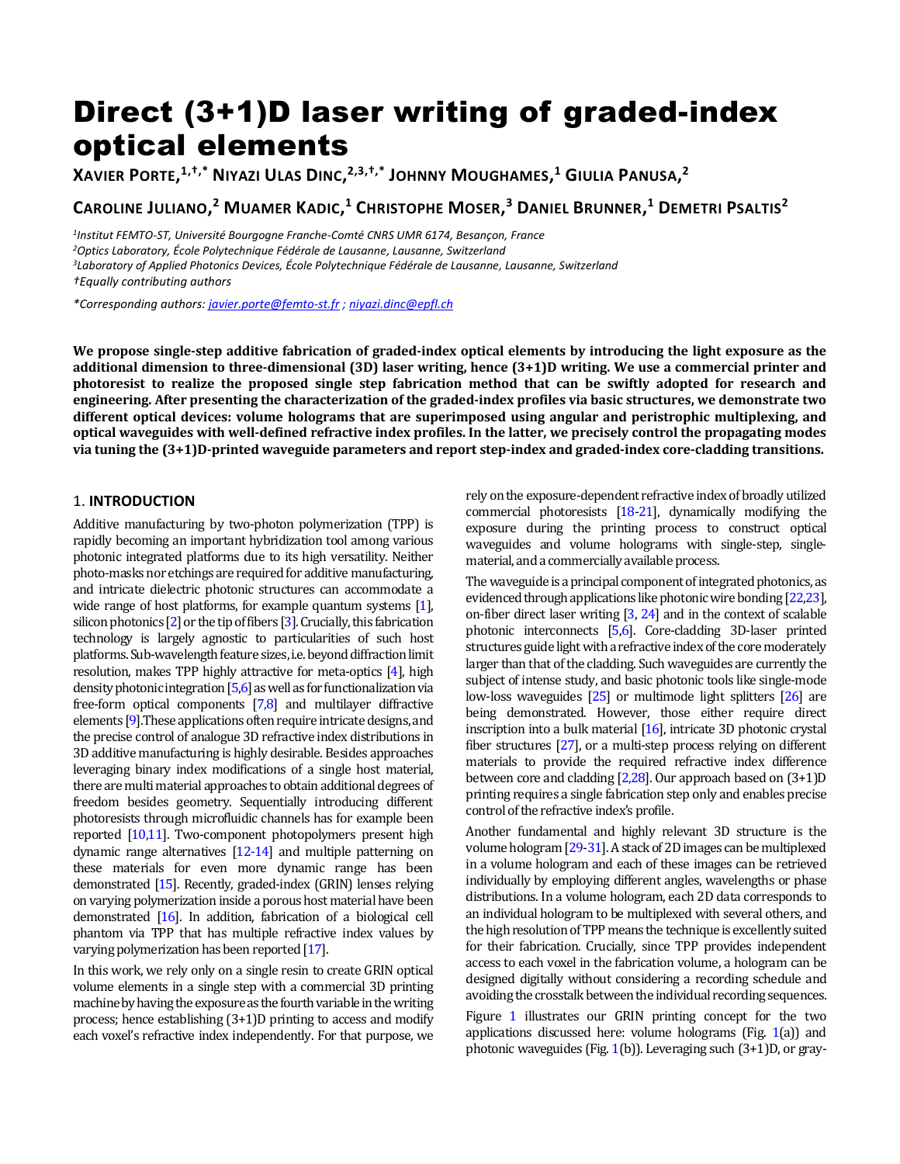# Direct (3+1)D laser writing of graded-index optical elements

XAVIER PORTE, $^{1, \dagger, \ast}$  Niyazi Ulas Dinc, $^{2, 3, \dagger, \ast}$  Johnny Moughames, $^{1}$  Giulia Panusa, $^{2}$ 

CAROLINE JULIANO,<sup>2</sup> MUAMER KADIC,<sup>1</sup> CHRISTOPHE MOSER,<sup>3</sup> DANIEL BRUNNER,<sup>1</sup> DEMETRI PSALTIS<sup>2</sup>

 *Institut FEMTO-ST, Université Bourgogne Franche-Comté CNRS UMR 6174, Besançon, France Optics Laboratory, École Polytechnique Fédérale de Lausanne, Lausanne, Switzerland Laboratory of Applied Photonics Devices, École Polytechnique Fédérale de Lausanne, Lausanne, Switzerland †Equally contributing authors*

*\*Corresponding authors: [javier.porte@femto-st.fr](mailto:javier.porte@femto-st.fr) ; niyazi.dinc@epfl.ch*

**We propose single-step additive fabrication of graded-index optical elements by introducing the light exposure as the additional dimension to three-dimensional (3D) laser writing, hence (3+1)D writing. We use a commercial printer and photoresist to realize the proposed single step fabrication method that can be swiftly adopted for research and engineering. After presenting the characterization of the graded-index profiles via basic structures, we demonstrate two different optical devices: volume holograms that are superimposed using angular and peristrophic multiplexing, and optical waveguides with well-defined refractive index profiles. In the latter, we precisely control the propagating modes via tuning the (3+1)D-printed waveguide parameters and report step-index and graded-index core-cladding transitions.** 

# 1. **INTRODUCTION**

Additive manufacturing by two-photon polymerization (TPP) is rapidly becoming an important hybridization tool among various photonic integrated platforms due to its high versatility. Neither photo-masks nor etchings are required for additive manufacturing, and intricate dielectric photonic structures can accommodate a wide range of host platforms, for example quantum systems [1], silicon photonics [2] or the tip of fibers [3]. Crucially, this fabrication technology is largely agnostic to particularities of such host platforms. Sub-wavelength feature sizes, i.e. beyond diffraction limit resolution, makes TPP highly attractive for meta-optics [4], high density photonic integration  $[5,6]$  as well as for functionalization via free-form optical components [7,8] and multilayer diffractive elements [9]. These applications often require intricate designs, and the precise control of analogue 3D refractive index distributions in 3D additive manufacturing is highly desirable. Besides approaches leveraging binary index modifications of a single host material, there are multi material approaches to obtain additional degrees of freedom besides geometry. Sequentially introducing different photoresists through microfluidic channels has for example been reported [10,11]. Two-component photopolymers present high dynamic range alternatives [12-14] and multiple patterning on these materials for even more dynamic range has been demonstrated [15]. Recently, graded-index (GRIN) lenses relying on varying polymerization inside a porous host material have been demonstrated [16]. In addition, fabrication of a biological cell phantom via TPP that has multiple refractive index values by varying polymerization has been reported [17].

In this work, we rely only on a single resin to create GRIN optical volume elements in a single step with a commercial 3D printing machine by having the exposure as the fourth variable in the writing process; hence establishing (3+1)D printing to access and modify each voxel's refractive index independently. For that purpose, we rely on the exposure-dependent refractive index of broadly utilized commercial photoresists [18-21], dynamically modifying the exposure during the printing process to construct optical waveguides and volume holograms with single-step, singlematerial, and a commercially available process.

The waveguide is a principal component of integrated photonics, as evidenced through applications like photonic wire bonding [22,23], on-fiber direct laser writing [3, 24] and in the context of scalable photonic interconnects [5,6]. Core-cladding 3D-laser printed structures guide light with a refractive index of the core moderately larger than that of the cladding. Such waveguides are currently the subject of intense study, and basic photonic tools like single-mode low-loss waveguides [25] or multimode light splitters [26] are being demonstrated. However, those either require direct inscription into a bulk material [16], intricate 3D photonic crystal fiber structures [27], or a multi-step process relying on different materials to provide the required refractive index difference between core and cladding [2,28]. Our approach based on (3+1)D printing requires a single fabrication step only and enables precise control of the refractive index's profile.

Another fundamental and highly relevant 3D structure is the volume hologram [29-31]. A stack of 2D images can be multiplexed in a volume hologram and each of these images can be retrieved individually by employing different angles, wavelengths or phase distributions. In a volume hologram, each 2D data corresponds to an individual hologram to be multiplexed with several others, and the high resolution of TPP means the technique is excellently suited for their fabrication. Crucially, since TPP provides independent access to each voxel in the fabrication volume, a hologram can be designed digitally without considering a recording schedule and avoiding the crosstalk between the individual recording sequences.

Figure 1 illustrates our GRIN printing concept for the two applications discussed here: volume holograms (Fig. 1(a)) and photonic waveguides (Fig. 1(b)). Leveraging such (3+1)D, or gray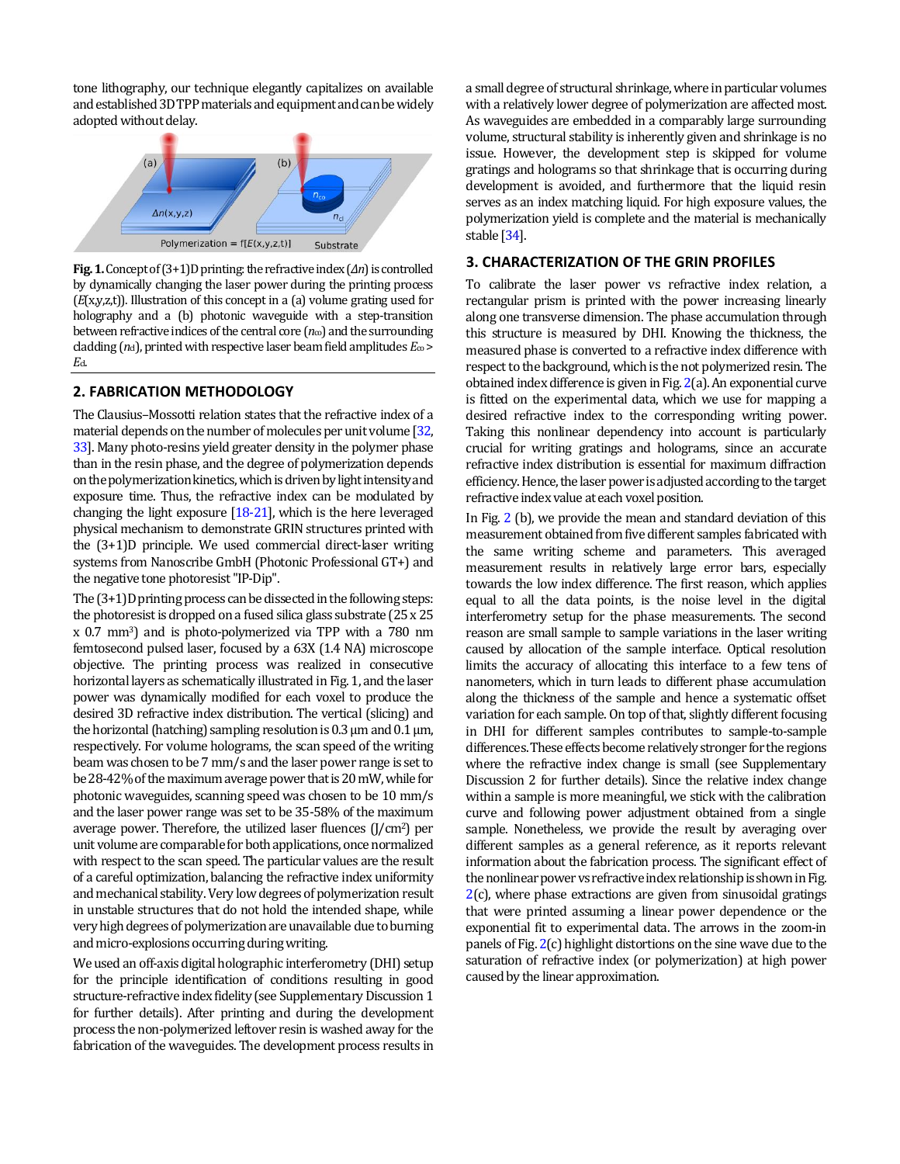tone lithography, our technique elegantly capitalizes on available and established 3D TPP materialsand equipment and canbe widely adopted without delay.



**Fig. 1.**Concept of (3+1)D printing: the refractive index (*Δn*) is controlled by dynamically changing the laser power during the printing process (*E*(x,y,z,t)). Illustration of this concept in a (a) volume grating used for holography and a (b) photonic waveguide with a step-transition between refractive indices of the central core  $(n_{\infty})$  and the surrounding cladding  $(n_d)$ , printed with respective laser beam field amplitudes  $E_{\infty}$  > *E*cl.

### **2. FABRICATION METHODOLOGY**

The Clausius–Mossotti relation states that the refractive index of a material depends on the number of molecules per unit volume [32, 33]. Many photo-resins yield greater density in the polymer phase than in the resin phase, and the degree of polymerization depends on thepolymerization kinetics,which is driven bylight intensity and exposure time. Thus, the refractive index can be modulated by changing the light exposure [18-21], which is the here leveraged physical mechanism to demonstrate GRIN structures printed with the (3+1)D principle. We used commercial direct-laser writing systems from Nanoscribe GmbH (Photonic Professional GT+) and the negative tone photoresist "IP-Dip".

The (3+1)D printing process can be dissected in the following steps: the photoresist is dropped on a fused silica glass substrate (25 x 25 x 0.7 mm3) and is photo-polymerized via TPP with a 780 nm femtosecond pulsed laser, focused by a 63X (1.4 NA) microscope objective. The printing process was realized in consecutive horizontal layers as schematically illustrated in Fig. 1, and the laser power was dynamically modified for each voxel to produce the desired 3D refractive index distribution. The vertical (slicing) and the horizontal (hatching) sampling resolution is 0.3 μm and 0.1 μm, respectively. For volume holograms, the scan speed of the writing beam was chosen to be 7 mm/s and the laser power range is set to be 28-42% of the maximum average power that is 20 mW, while for photonic waveguides, scanning speed was chosen to be 10 mm/s and the laser power range was set to be 35-58% of the maximum average power. Therefore, the utilized laser fluences  $(J/cm<sup>2</sup>)$  per unit volume are comparable for both applications, once normalized with respect to the scan speed. The particular values are the result of a careful optimization, balancing the refractive index uniformity and mechanical stability. Very low degrees of polymerization result in unstable structures that do not hold the intended shape, while very high degrees of polymerization are unavailabledue to burning and micro-explosions occurring during writing.

We used an off-axis digital holographic interferometry (DHI) setup for the principle identification of conditions resulting in good structure-refractive index fidelity (see Supplementary Discussion 1 for further details). After printing and during the development process the non-polymerized leftover resin iswashed away for the fabrication of the waveguides. The development process results in

a small degree of structural shrinkage, where in particular volumes with a relatively lower degree of polymerization are affected most. As waveguides are embedded in a comparably large surrounding volume, structural stability is inherently given and shrinkage is no issue. However, the development step is skipped for volume gratings and holograms so that shrinkage that is occurring during development is avoided, and furthermore that the liquid resin serves as an index matching liquid. For high exposure values, the polymerization yield is complete and the material is mechanically stable [34].

# **3. CHARACTERIZATION OF THE GRIN PROFILES**

To calibrate the laser power vs refractive index relation, a rectangular prism is printed with the power increasing linearly along one transverse dimension. The phase accumulation through this structure is measured by DHI. Knowing the thickness, the measured phase is converted to a refractive index difference with respect to the background, which is the not polymerized resin. The obtained index difference is given in Fig.2(a). An exponential curve is fitted on the experimental data, which we use for mapping a desired refractive index to the corresponding writing power. Taking this nonlinear dependency into account is particularly crucial for writing gratings and holograms, since an accurate refractive index distribution is essential for maximum diffraction efficiency. Hence, the laser power is adjusted according to the target refractive index value at each voxel position.

In Fig. 2 (b), we provide the mean and standard deviation of this measurement obtained from five different samples fabricated with the same writing scheme and parameters. This averaged measurement results in relatively large error bars, especially towards the low index difference. The first reason, which applies equal to all the data points, is the noise level in the digital interferometry setup for the phase measurements. The second reason are small sample to sample variations in the laser writing caused by allocation of the sample interface. Optical resolution limits the accuracy of allocating this interface to a few tens of nanometers, which in turn leads to different phase accumulation along the thickness of the sample and hence a systematic offset variation for each sample. On top of that, slightly different focusing in DHI for different samples contributes to sample-to-sample differences. These effects become relatively stronger for the regions where the refractive index change is small (see Supplementary Discussion 2 for further details). Since the relative index change within a sample is more meaningful, we stick with the calibration curve and following power adjustment obtained from a single sample. Nonetheless, we provide the result by averaging over different samples as a general reference, as it reports relevant information about the fabrication process. The significant effect of the nonlinear power vs refractive indexrelationship is shown in Fig. 2(c), where phase extractions are given from sinusoidal gratings that were printed assuming a linear power dependence or the exponential fit to experimental data. The arrows in the zoom-in panels of Fig. 2(c) highlight distortions on the sine wave due to the saturation of refractive index (or polymerization) at high power caused by the linear approximation.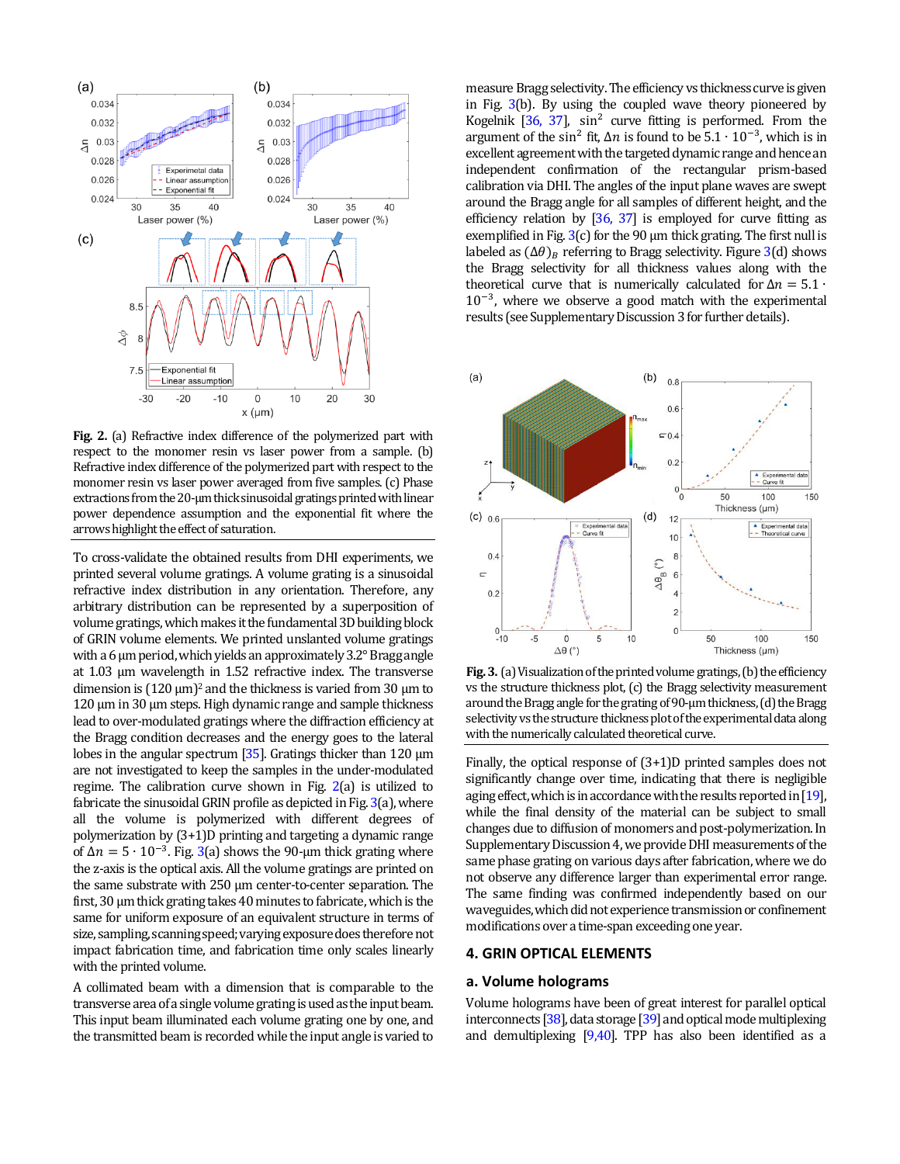

**Fig. 2.** (a) Refractive index difference of the polymerized part with respect to the monomer resin vs laser power from a sample. (b) Refractive index difference of the polymerized part with respect to the monomer resin vs laser power averaged from five samples. (c) Phase extractions from the 20-µm thick sinusoidal gratings printed with linear power dependence assumption and the exponential fit where the arrows highlight the effect of saturation.

To cross-validate the obtained results from DHI experiments, we printed several volume gratings. A volume grating is a sinusoidal refractive index distribution in any orientation. Therefore, any arbitrary distribution can be represented by a superposition of volume gratings, which makes it the fundamental 3D building block of GRIN volume elements. We printed unslanted volume gratings with a 6 µm period, which yields an approximately 3.2° Bragg angle at 1.03 µm wavelength in 1.52 refractive index. The transverse dimension is  $(120 \mu m)^2$  and the thickness is varied from 30  $\mu$ m to 120 µm in 30 µm steps. High dynamic range and sample thickness lead to over-modulated gratings where the diffraction efficiency at the Bragg condition decreases and the energy goes to the lateral lobes in the angular spectrum [35]. Gratings thicker than 120 µm are not investigated to keep the samples in the under-modulated regime. The calibration curve shown in Fig. 2(a) is utilized to fabricate the sinusoidal GRIN profile as depicted in Fig. 3(a), where all the volume is polymerized with different degrees of polymerization by (3+1)D printing and targeting a dynamic range of  $\Delta n = 5 \cdot 10^{-3}$ . Fig. 3(a) shows the 90-µm thick grating where the z-axis is the optical axis. All the volume gratings are printed on the same substrate with 250 µm center-to-center separation. The first, 30 µm thick grating takes 40 minutes to fabricate, which is the same for uniform exposure of an equivalent structure in terms of size, sampling, scanning speed; varying exposure doesthereforenot impact fabrication time, and fabrication time only scales linearly with the printed volume.

A collimated beam with a dimension that is comparable to the transverse area of a single volume grating is used as the input beam. This input beam illuminated each volume grating one by one, and the transmitted beam is recordedwhile the input angle is varied to

measure Bragg selectivity. The efficiency vs thickness curve is given in Fig. 3(b). By using the coupled wave theory pioneered by Kogelnik  $[36, 37]$ , sin<sup>2</sup> curve fitting is performed. From the argument of the sin<sup>2</sup> fit,  $\Delta n$  is found to be  $5.1 \cdot 10^{-3}$ , which is in excellent agreement with the targeted dynamic range and hence an independent confirmation of the rectangular prism-based calibration via DHI. The angles of the input plane waves are swept around the Bragg angle for all samples of different height, and the efficiency relation by [36, 37] is employed for curve fitting as exemplified in Fig.  $3(c)$  for the 90  $\mu$ m thick grating. The first null is labeled as  $(\Delta \theta)_B$  referring to Bragg selectivity. Figure 3(d) shows the Bragg selectivity for all thickness values along with the theoretical curve that is numerically calculated for  $\Delta n = 5.1 \cdot$ 10<sup>-3</sup>, where we observe a good match with the experimental results (see Supplementary Discussion 3 for further details).



**Fig. 3.** (a) Visualization of the printed volume gratings, (b) the efficiency vs the structure thickness plot, (c) the Bragg selectivity measurement around the Bragg angle for the grating of 90-µm thickness, (d) the Bragg selectivity vs the structure thickness plotof the experimental data along with the numerically calculated theoretical curve.

Finally, the optical response of (3+1)D printed samples does not significantly change over time, indicating that there is negligible aging effect, which is in accordance with the results reported in [19]. while the final density of the material can be subject to small changes due to diffusion of monomers and post-polymerization. In Supplementary Discussion 4, we provide DHI measurements of the same phase grating on various days after fabrication, where we do not observe any difference larger than experimental error range. The same finding was confirmed independently based on our waveguides, which did not experience transmission or confinement modifications over a time-span exceeding one year.

### **4. GRIN OPTICAL ELEMENTS**

#### **a. Volume holograms**

Volume holograms have been of great interest for parallel optical interconnects  $[38]$ , data storage  $[39]$  and optical mode multiplexing and demultiplexing [9,40]. TPP has also been identified as a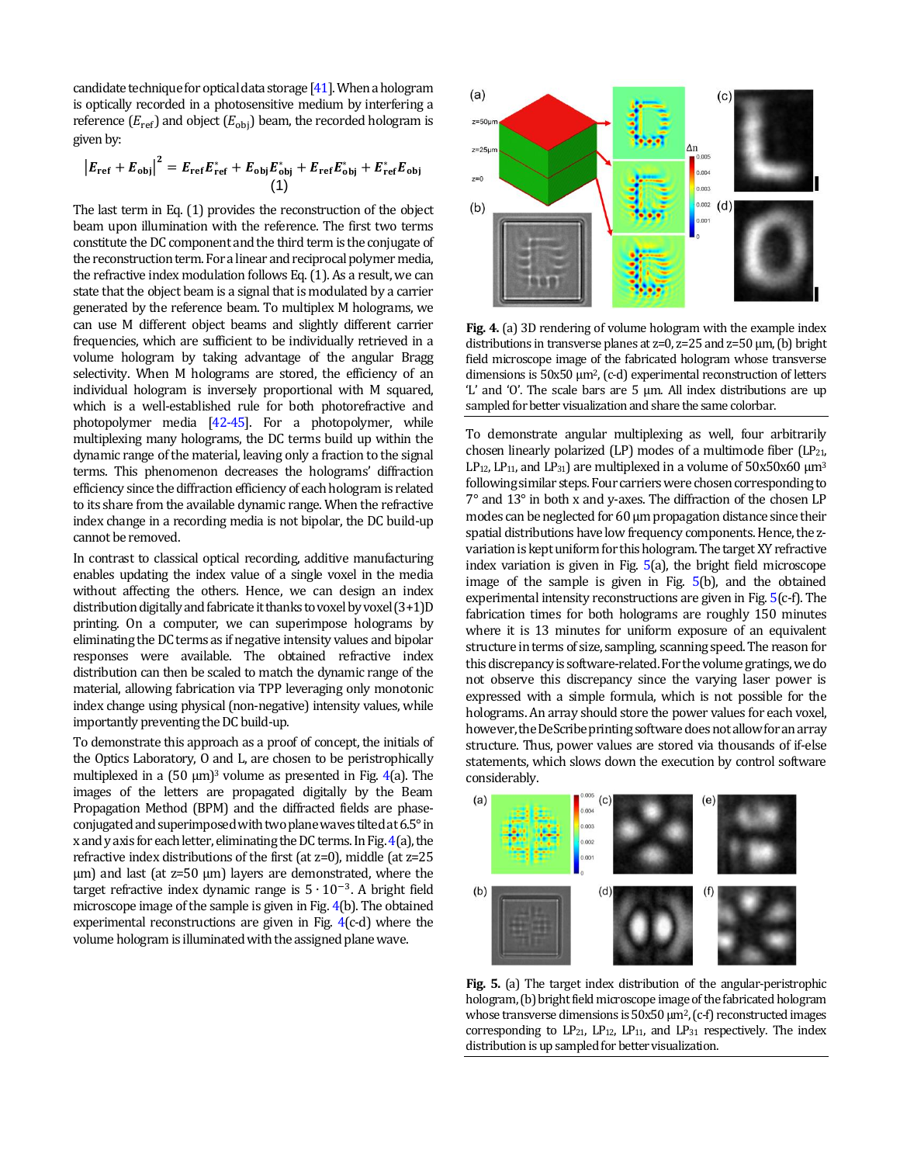candidate technique for optical data storage [41].When a hologram is optically recorded in a photosensitive medium by interfering a reference  $(E_{ref})$  and object  $(E_{obj})$  beam, the recorded hologram is given by:

$$
|E_{\text{ref}} + E_{\text{obj}}|^2 = E_{\text{ref}} E_{\text{ref}}^* + E_{\text{obj}} E_{\text{obj}}^* + E_{\text{ref}} E_{\text{obj}}^* + E_{\text{ref}}^* E_{\text{obj}}
$$
  
(1)

The last term in Eq. (1) provides the reconstruction of the object beam upon illumination with the reference. The first two terms constitute the DC component and the third term is the conjugate of the reconstruction term. For a linear and reciprocal polymer media, the refractive index modulation follows Eq. (1). As a result, we can state that the object beam is a signal that is modulated by a carrier generated by the reference beam. To multiplex M holograms, we can use M different object beams and slightly different carrier frequencies, which are sufficient to be individually retrieved in a volume hologram by taking advantage of the angular Bragg selectivity. When M holograms are stored, the efficiency of an individual hologram is inversely proportional with M squared, which is a well-established rule for both photorefractive and photopolymer media [42-45]. For a photopolymer, while multiplexing many holograms, the DC terms build up within the dynamic range of the material, leaving only a fraction to the signal terms. This phenomenon decreases the holograms' diffraction efficiency since the diffraction efficiency of each hologram is related to its share from the available dynamic range. When the refractive index change in a recording media is not bipolar, the DC build-up cannot be removed.

In contrast to classical optical recording, additive manufacturing enables updating the index value of a single voxel in the media without affecting the others. Hence, we can design an index distribution digitally and fabricate it thanks to voxel by voxel (3+1)D printing. On a computer, we can superimpose holograms by eliminating the DC terms as if negative intensity values and bipolar responses were available. The obtained refractive index distribution can then be scaled to match the dynamic range of the material, allowing fabrication via TPP leveraging only monotonic index change using physical (non-negative) intensity values, while importantly preventing the DC build-up.

To demonstrate this approach as a proof of concept, the initials of the Optics Laboratory, O and L, are chosen to be peristrophically multiplexed in a  $(50 \mu m)^3$  volume as presented in Fig. 4(a). The images of the letters are propagated digitally by the Beam Propagation Method (BPM) and the diffracted fields are phaseconjugated and superimposed with two plane waves tilted at 6.5° in x and y axis for each letter, eliminating the DC terms. In Fig. 4(a), the refractive index distributions of the first (at z=0), middle (at z=25 µm) and last (at z=50 µm) layers are demonstrated, where the target refractive index dynamic range is  $5 \cdot 10^{-3}$ . A bright field microscope image of the sample is given in Fig. 4(b). The obtained experimental reconstructions are given in Fig. 4(c-d) where the volume hologram is illuminated with the assigned plane wave.



**Fig. 4.** (a) 3D rendering of volume hologram with the example index distributions in transverse planes at  $z=0$ ,  $z=25$  and  $z=50 \mu m$ , (b) bright field microscope image of the fabricated hologram whose transverse dimensions is 50x50 µm2, (c-d) experimental reconstruction of letters 'L' and 'O'. The scale bars are 5 µm. All index distributions are up sampled for better visualization and share the same colorbar.

To demonstrate angular multiplexing as well, four arbitrarily chosen linearly polarized (LP) modes of a multimode fiber (LP $_{21}$ , LP<sub>12</sub>, LP<sub>11</sub>, and LP<sub>31</sub>) are multiplexed in a volume of  $50x50x60 \mu m^3$ following similar steps. Four carriers were chosen corresponding to 7° and 13° in both x and y-axes. The diffraction of the chosen LP modes can be neglected for 60 µm propagation distance since their spatial distributions have low frequency components. Hence, the zvariation is kept uniform for this hologram. The target XY refractive index variation is given in Fig. 5(a), the bright field microscope image of the sample is given in Fig. 5(b), and the obtained experimental intensity reconstructions are given in Fig. 5(c-f). The fabrication times for both holograms are roughly 150 minutes where it is 13 minutes for uniform exposure of an equivalent structure in terms of size, sampling, scanning speed.The reason for this discrepancy is software-related. For the volume gratings, we do not observe this discrepancy since the varying laser power is expressed with a simple formula, which is not possible for the holograms. An array should store the power values for each voxel, however, the DeScribe printing software does not allow for an array structure. Thus, power values are stored via thousands of if-else statements, which slows down the execution by control software considerably.



**Fig. 5.** (a) The target index distribution of the angular-peristrophic hologram, (b) bright field microscope image of the fabricated hologram whose transverse dimensions is  $50x50 \mu m^2$ , (c-f) reconstructed images corresponding to  $LP_{21}$ ,  $LP_{12}$ ,  $LP_{11}$ , and  $LP_{31}$  respectively. The index distribution is up sampled for better visualization.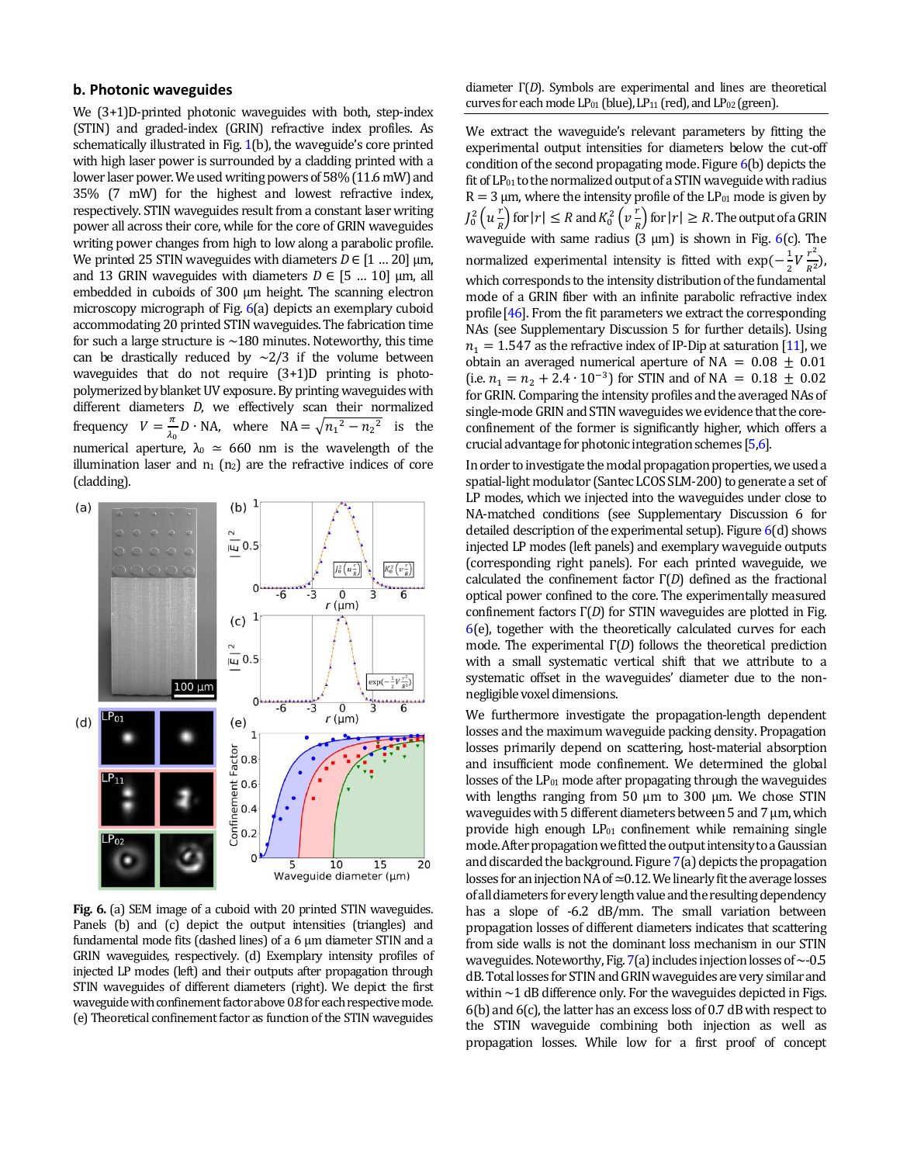# **b. Photonic waveguides**

We (3+1)D-printed photonic waveguides with both, step-index (STIN) and graded-index (GRIN) refractive index profiles. As schematically illustrated in Fig. 1(b), the waveguide's core printed with high laser power is surrounded by a cladding printed with a lower laser power. We used writing powers of 58% (11.6 mW) and 35% (7 mW) for the highest and lowest refractive index, respectively. STIN waveguides result from a constant laser writing power all across their core, while for the core of GRIN waveguides writing power changes from high to low along a parabolic profile. We printed 25 STIN waveguides with diameters  $D \in [1 \dots 20]$  µm, and 13 GRIN waveguides with diameters  $D \in [5 \dots 10]$  µm, all embedded in cuboids of 300 μm height. The scanning electron microscopy micrograph of Fig. 6(a) depicts an exemplary cuboid accommodating 20 printed STIN waveguides. The fabrication time for such a large structure is  $\sim$ 180 minutes. Noteworthy, this time can be drastically reduced by  $\sim$ 2/3 if the volume between waveguides that do not require (3+1)D printing is photopolymerized by blanket UV exposure. By printing waveguides with different diameters *D*, we effectively scan their normalized frequency  $V = \frac{\pi}{2}$  $\frac{n}{\lambda_0}D \cdot NA$ , where  $NA = \sqrt{n_1^2 - n_2^2}$  is the numerical aperture,  $\lambda_0 \simeq 660$  nm is the wavelength of the illumination laser and  $n_1$  ( $n_2$ ) are the refractive indices of core (cladding).



**Fig. 6.** (a) SEM image of a cuboid with 20 printed STIN waveguides. Panels (b) and (c) depict the output intensities (triangles) and fundamental mode fits (dashed lines) of a 6 µm diameter STIN and a GRIN waveguides, respectively. (d) Exemplary intensity profiles of injected LP modes (left) and their outputs after propagation through STIN waveguides of different diameters (right). We depict the first waveguide with confinement factor above 0.8 for each respective mode. (e) Theoretical confinement factor as function of the STIN waveguides

diameter Γ(*D*). Symbols are experimental and lines are theoretical curves for each mode  $LP_{01}$  (blue),  $LP_{11}$  (red), and  $LP_{02}$  (green).

We extract the waveguide's relevant parameters by fitting the experimental output intensities for diameters below the cut-off condition of the second propagating mode. Figure 6(b) depicts the fit of  $LP_{01}$  to the normalized output of a STIN waveguide with radius  $R = 3 \mu m$ , where the intensity profile of the LP<sub>01</sub> mode is given by  $J_0^2\left(u\frac{r}{p}\right)$  $\left(\frac{r}{R}\right)$  for  $|r| \leq R$  and  $K_0^2\left(v\frac{r}{R}\right)$  $\frac{1}{R}$ ) for  $|r| \ge R$ . The output of a GRIN waveguide with same radius (3  $\mu$ m) is shown in Fig. 6(c). The normalized experimental intensity is fitted with  $\exp(-\frac{1}{2})$  $rac{1}{2}V\frac{r}{R}$  $\frac{1}{R^2}$ ), which corresponds to the intensity distribution of the fundamental mode of a GRIN fiber with an infinite parabolic refractive index profile[46]. From the fit parameters we extract the corresponding NAs (see Supplementary Discussion 5 for further details). Using  $n_1 = 1.547$  as the refractive index of IP-Dip at saturation [11], we obtain an averaged numerical aperture of NA =  $0.08 \pm 0.01$ (i.e.  $n_1 = n_2 + 2.4 \cdot 10^{-3}$ ) for STIN and of NA = 0.18  $\pm$  0.02 for GRIN. Comparing the intensity profiles and the averaged NAs of single-mode GRIN and STIN waveguides we evidence that the coreconfinement of the former is significantly higher, which offers a crucial advantage for photonic integration schemes [5,6].

In order to investigate the modal propagation properties, we used a spatial-light modulator (Santec LCOS SLM-200) to generate a set of LP modes, which we injected into the waveguides under close to NA-matched conditions (see Supplementary Discussion 6 for detailed description of the experimental setup). Figure 6(d) shows injected LP modes (left panels) and exemplary waveguide outputs (corresponding right panels). For each printed waveguide, we calculated the confinement factor Γ(*D*) defined as the fractional optical power confined to the core. The experimentally measured confinement factors Γ(*D*) for STIN waveguides are plotted in Fig. 6(e), together with the theoretically calculated curves for each mode. The experimental Γ(*D*) follows the theoretical prediction with a small systematic vertical shift that we attribute to a systematic offset in the waveguides' diameter due to the nonnegligible voxel dimensions.

We furthermore investigate the propagation-length dependent losses and the maximum waveguide packing density. Propagation losses primarily depend on scattering, host-material absorption and insufficient mode confinement. We determined the global losses of the  $LP_{01}$  mode after propagating through the waveguides with lengths ranging from 50 μm to 300 μm. We chose STIN waveguides with 5 different diameters between 5 and 7 μm, which provide high enough  $LP_{01}$  confinement while remaining single mode. After propagation we fitted the output intensity to a Gaussian and discarded the background. Figure 7(a) depicts the propagation losses for an injection NA of ≃0.12.We linearly fit the average losses of all diameters for every length value and the resulting dependency has a slope of -6.2 dB/mm. The small variation between propagation losses of different diameters indicates that scattering from side walls is not the dominant loss mechanism in our STIN waveguides. Noteworthy, Fig. 7(a) includes injection losses of  $\sim$ -0.5 dB.Totallosses for STIN and GRIN waveguides are very similar and within  $\sim$  1 dB difference only. For the waveguides depicted in Figs. 6(b) and 6(c), the latter has an excess loss of 0.7 dB with respect to the STIN waveguide combining both injection as well as propagation losses. While low for a first proof of concept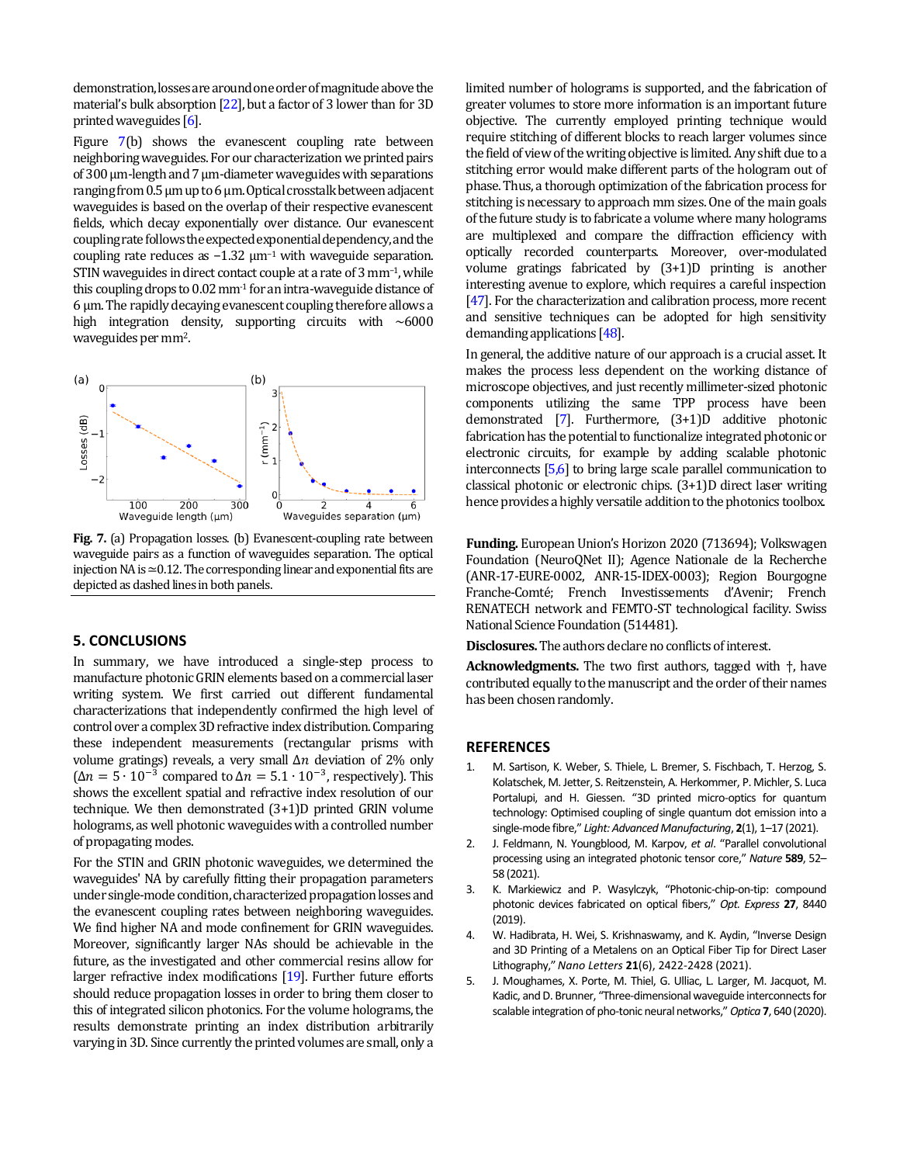demonstration, losses are around one order of magnitude above the material's bulk absorption [22], but a factor of 3 lower than for 3D printed waveguides [6].

Figure 7(b) shows the evanescent coupling rate between neighboring waveguides. For our characterization we printed pairs of 300 μm-length and 7 µm-diameter waveguides with separations ranging from 0.5 μm up to 6 μm. Optical crosstalk between adjacent waveguides is based on the overlap of their respective evanescent fields, which decay exponentially over distance. Our evanescent coupling rate followsthe expected exponential dependency, and the coupling rate reduces as  $-1.32 \mu m^{-1}$  with waveguide separation. STIN waveguides in direct contact couple at a rate of 3 mm<sup>-1</sup>, while this coupling drops to  $0.02$  mm<sup>-1</sup> for an intra-waveguide distance of 6 μm. The rapidly decaying evanescent coupling therefore allows a high integration density, supporting circuits with  $~6000$ waveguides per mm<sup>2</sup> .



**Fig. 7.** (a) Propagation losses. (b) Evanescent-coupling rate between waveguide pairs as a function of waveguides separation. The optical injection NA is ≃0.12.The corresponding linear and exponential fits are depicted as dashed lines in both panels.

## **5. CONCLUSIONS**

In summary, we have introduced a single-step process to manufacture photonic GRIN elements based on a commercial laser writing system. We first carried out different fundamental characterizations that independently confirmed the high level of control over a complex 3D refractive index distribution. Comparing these independent measurements (rectangular prisms with volume gratings) reveals, a very small  $\Delta n$  deviation of 2% only  $(\Delta n = 5 \cdot 10^{-3}$  compared to  $\Delta n = 5.1 \cdot 10^{-3}$ , respectively). This shows the excellent spatial and refractive index resolution of our technique. We then demonstrated (3+1)D printed GRIN volume holograms, as well photonic waveguides with a controlled number of propagating modes.

For the STIN and GRIN photonic waveguides, we determined the waveguides' NA by carefully fitting their propagation parameters under single-mode condition, characterized propagation losses and the evanescent coupling rates between neighboring waveguides. We find higher NA and mode confinement for GRIN waveguides. Moreover, significantly larger NAs should be achievable in the future, as the investigated and other commercial resins allow for larger refractive index modifications [19]. Further future efforts should reduce propagation losses in order to bring them closer to this of integrated silicon photonics. For the volume holograms, the results demonstrate printing an index distribution arbitrarily varying in 3D. Since currently the printed volumes are small, only a limited number of holograms is supported, and the fabrication of greater volumes to store more information is an important future objective. The currently employed printing technique would require stitching of different blocks to reach larger volumes since the field of view of the writing objective is limited. Any shift due to a stitching error would make different parts of the hologram out of phase. Thus, a thorough optimization of the fabrication process for stitching is necessary to approach mm sizes. One of the main goals of the future study is to fabricate a volume where many holograms are multiplexed and compare the diffraction efficiency with optically recorded counterparts. Moreover, over-modulated volume gratings fabricated by (3+1)D printing is another interesting avenue to explore, which requires a careful inspection [47]. For the characterization and calibration process, more recent and sensitive techniques can be adopted for high sensitivity demanding applications [48].

In general, the additive nature of our approach is a crucial asset. It makes the process less dependent on the working distance of microscope objectives, and just recently millimeter-sized photonic components utilizing the same TPP process have been demonstrated [7]. Furthermore, (3+1)D additive photonic fabrication has the potential to functionalize integrated photonic or electronic circuits, for example by adding scalable photonic interconnects [5,6] to bring large scale parallel communication to classical photonic or electronic chips. (3+1)D direct laser writing hence provides a highly versatile addition to the photonics toolbox.

**Funding.** European Union's Horizon 2020 (713694); Volkswagen Foundation (NeuroQNet II); Agence Nationale de la Recherche (ANR-17-EURE-0002, ANR-15-IDEX-0003); Region Bourgogne Franche-Comté; French Investissements d'Avenir; French RENATECH network and FEMTO-ST technological facility. Swiss National Science Foundation(514481).

**Disclosures.** The authors declare no conflicts of interest.

**Acknowledgments.** The two first authors, tagged with †, have contributed equally to the manuscript and the order of their names has been chosen randomly.

#### **REFERENCES**

- 1. M. Sartison, K. Weber, S. Thiele, L. Bremer, S. Fischbach, T. Herzog, S. Kolatschek, M. Jetter, S. Reitzenstein, A. Herkommer, P. Michler, S. Luca Portalupi, and H. Giessen. "3D printed micro-optics for quantum technology: Optimised coupling of single quantum dot emission into a single-mode fibre," *Light: Advanced Manufacturing*, **2**(1), 1–17 (2021).
- 2. J. Feldmann, N. Youngblood, M. Karpov, *et al*. "Parallel convolutional processing using an integrated photonic tensor core," *Nature* **589**, 52– 58 (2021).
- 3. K. Markiewicz and P. Wasylczyk, "Photonic-chip-on-tip: compound photonic devices fabricated on optical fibers," *Opt. Express* **27**, 8440 (2019).
- 4. W. Hadibrata, H. Wei, S. Krishnaswamy, and K. Aydin, "Inverse Design and 3D Printing of a Metalens on an Optical Fiber Tip for Direct Laser Lithography," *Nano Letters* **21**(6), 2422-2428 (2021).
- 5. J. Moughames, X. Porte, M. Thiel, G. Ulliac, L. Larger, M. Jacquot, M. Kadic, and D. Brunner, "Three-dimensional waveguide interconnects for scalable integration of pho-tonic neural networks," *Optica* **7**, 640 (2020).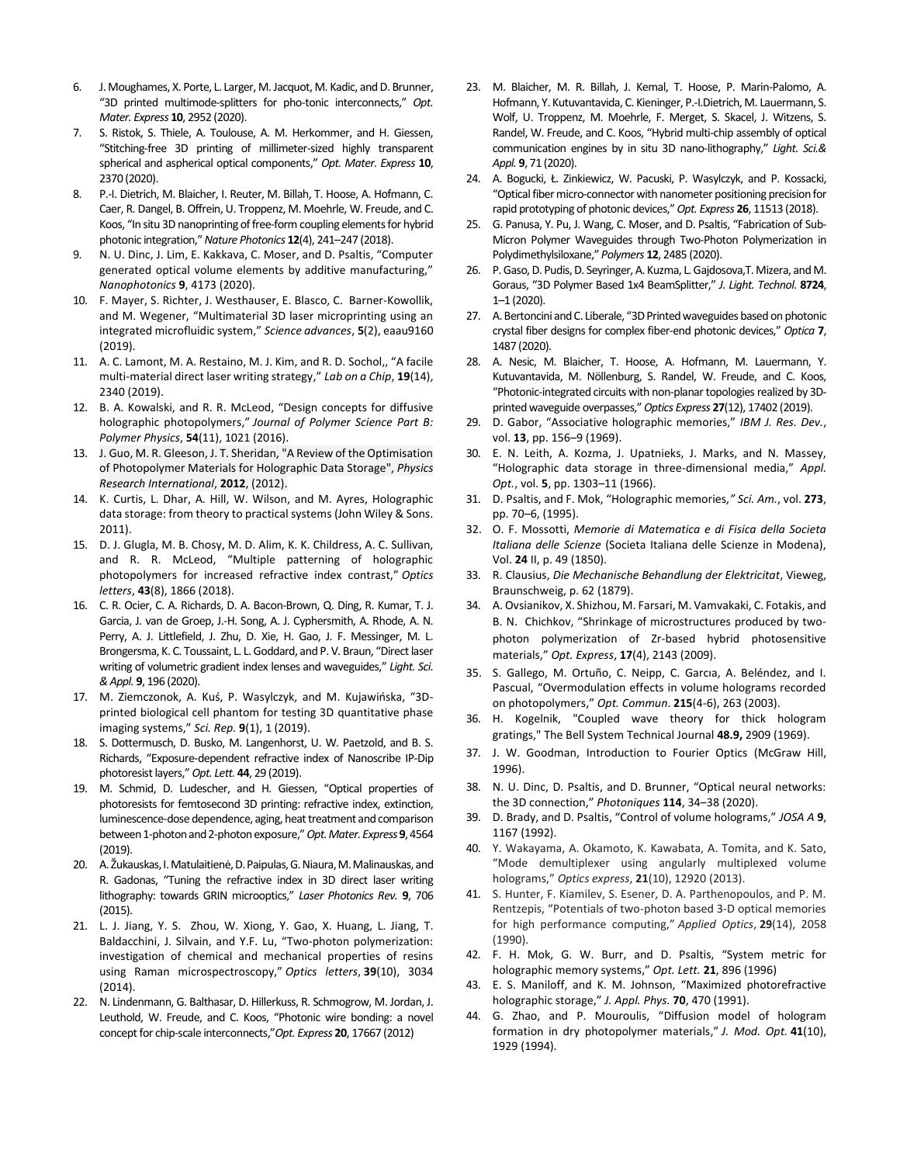- 6. J. Moughames, X. Porte, L. Larger, M. Jacquot, M. Kadic, and D. Brunner, "3D printed multimode-splitters for pho-tonic interconnects," *Opt. Mater. Express* **10**, 2952 (2020).
- 7. S. Ristok, S. Thiele, A. Toulouse, A. M. Herkommer, and H. Giessen, "Stitching-free 3D printing of millimeter-sized highly transparent spherical and aspherical optical components," *Opt. Mater. Express* **10**, 2370 (2020).
- 8. P.-I. Dietrich, M. Blaicher, I. Reuter, M. Billah, T. Hoose, A. Hofmann, C. Caer, R. Dangel, B. Offrein, U. Troppenz, M. Moehrle, W. Freude, and C. Koos, "In situ 3D nanoprinting of free-form coupling elements for hybrid photonic integration," *Nature Photonics* **12**(4), 241–247 (2018).
- 9. N. U. Dinc, J. Lim, E. Kakkava, C. Moser, and D. Psaltis, "Computer generated optical volume elements by additive manufacturing," *Nanophotonics* **9**, 4173 (2020).
- 10. F. Mayer, S. Richter, J. Westhauser, E. Blasco, C. Barner-Kowollik, and M. Wegener, "Multimaterial 3D laser microprinting using an integrated microfluidic system," *Science advances*, **5**(2), eaau9160 (2019).
- 11. A. C. Lamont, M. A. Restaino, M. J. Kim, and R. D. Sochol,, "A facile multi-material direct laser writing strategy," *Lab on a Chip*, **19**(14), 2340 (2019).
- 12. B. A. Kowalski, and R. R. McLeod, "Design concepts for diffusive holographic photopolymers," *Journal of Polymer Science Part B: Polymer Physics*, **54**(11), 1021 (2016).
- 13. J. Guo, M. R. Gleeson, J. T. Sheridan, "A Review of the Optimisation of Photopolymer Materials for Holographic Data Storage", *Physics Research International*, **2012**, (2012).
- 14. K. Curtis, L. Dhar, A. Hill, W. Wilson, and M. Ayres, Holographic data storage: from theory to practical systems (John Wiley & Sons. 2011).
- 15. D. J. Glugla, M. B. Chosy, M. D. Alim, K. K. Childress, A. C. Sullivan, and R. R. McLeod, "Multiple patterning of holographic photopolymers for increased refractive index contrast," *Optics letters*, **43**(8), 1866 (2018).
- 16. C. R. Ocier, C. A. Richards, D. A. Bacon-Brown, Q. Ding, R. Kumar, T. J. Garcia, J. van de Groep, J.-H. Song, A. J. Cyphersmith, A. Rhode, A. N. Perry, A. J. Littlefield, J. Zhu, D. Xie, H. Gao, J. F. Messinger, M. L. Brongersma, K. C. Toussaint, L. L. Goddard, and P. V. Braun, "Direct laser writing of volumetric gradient index lenses and waveguides," *Light. Sci. & Appl.* **9**, 196 (2020).
- 17. M. Ziemczonok, A. Kuś, P. Wasylczyk, and M. Kujawińska, "3Dprinted biological cell phantom for testing 3D quantitative phase imaging systems," *Sci. Rep.* **9**(1), 1 (2019).
- 18. S. Dottermusch, D. Busko, M. Langenhorst, U. W. Paetzold, and B. S. Richards, "Exposure-dependent refractive index of Nanoscribe IP-Dip photoresist layers," *Opt. Lett.* **44**, 29 (2019).
- 19. M. Schmid, D. Ludescher, and H. Giessen, "Optical properties of photoresists for femtosecond 3D printing: refractive index, extinction, luminescence-dose dependence, aging, heat treatment and comparison between 1-photon and 2-photon exposure," *Opt. Mater. Express***9**,4564 (2019).
- 20. A. Žukauskas, I. Matulaitienė, D. Paipulas, G. Niaura, M. Malinauskas, and R. Gadonas, "Tuning the refractive index in 3D direct laser writing lithography: towards GRIN microoptics," *Laser Photonics Rev.* **9**, 706 (2015).
- 21. L. J. Jiang, Y. S. Zhou, W. Xiong, Y. Gao, X. Huang, L. Jiang, T. Baldacchini, J. Silvain, and Y.F. Lu, "Two-photon polymerization: investigation of chemical and mechanical properties of resins using Raman microspectroscopy," *Optics letters*, **39**(10), 3034 (2014).
- 22. N. Lindenmann, G. Balthasar, D. Hillerkuss, R. Schmogrow, M. Jordan, J. Leuthold, W. Freude, and C. Koos, "Photonic wire bonding: a novel concept for chip-scale interconnects,"*Opt. Express* **20**, 17667 (2012)
- 23. M. Blaicher, M. R. Billah, J. Kemal, T. Hoose, P. Marin-Palomo, A. Hofmann, Y. Kutuvantavida, C. Kieninger, P.-I.Dietrich, M. Lauermann, S. Wolf, U. Troppenz, M. Moehrle, F. Merget, S. Skacel, J. Witzens, S. Randel, W. Freude, and C. Koos, "Hybrid multi-chip assembly of optical communication engines by in situ 3D nano-lithography," *Light. Sci.& Appl.* **9**, 71 (2020).
- 24. A. Bogucki, Ł. Zinkiewicz, W. Pacuski, P. Wasylczyk, and P. Kossacki, "Optical fiber micro-connector with nanometer positioning precision for rapid prototyping of photonic devices," *Opt. Express* **26**, 11513 (2018).
- 25. G. Panusa, Y. Pu, J. Wang, C. Moser, and D. Psaltis, "Fabrication of Sub-Micron Polymer Waveguides through Two-Photon Polymerization in Polydimethylsiloxane," *Polymers* **12**, 2485 (2020).
- 26. P. Gaso, D. Pudis, D. Seyringer, A. Kuzma, L. Gajdosova,T. Mizera, and M. Goraus, "3D Polymer Based 1x4 BeamSplitter," *J. Light. Technol.* **8724**, 1–1 (2020).
- 27. A. Bertoncini and C. Liberale, "3D Printed waveguides based on photonic crystal fiber designs for complex fiber-end photonic devices," *Optica* **7**, 1487 (2020).
- 28. A. Nesic, M. Blaicher, T. Hoose, A. Hofmann, M. Lauermann, Y. Kutuvantavida, M. Nöllenburg, S. Randel, W. Freude, and C. Koos, "Photonic-integrated circuits with non-planar topologies realized by 3Dprinted waveguide overpasses," *Optics Express* **27**(12), 17402 (2019).
- 29. D. Gabor, "Associative holographic memories," *IBM J. Res. Dev.*, vol. **13**, pp. 156–9 (1969).
- 30. E. N. Leith, A. Kozma, J. Upatnieks, J. Marks, and N. Massey, "Holographic data storage in three-dimensional media," *Appl. Opt.*, vol. **5**, pp. 1303–11 (1966).
- 31. D. Psaltis, and F. Mok, "Holographic memories*," Sci. Am.*, vol. **273**, pp. 70–6, (1995).
- 32. O. F. Mossotti, *Memorie di Matematica e di Fisica della Societa Italiana delle Scienze* (Societa Italiana delle Scienze in Modena), Vol. **24** II, p. 49 (1850).
- 33. R. Clausius, *Die Mechanische Behandlung der Elektricitat*, Vieweg, Braunschweig, p. 62 (1879).
- 34. A. Ovsianikov, X. Shizhou, M. Farsari, M. Vamvakaki, C. Fotakis, and B. N. Chichkov, "Shrinkage of microstructures produced by twophoton polymerization of Zr-based hybrid photosensitive materials," *Opt. Express*, **17**(4), 2143 (2009).
- 35. S. Gallego, M. Ortuño, C. Neipp, C. Garcıa, A. Beléndez, and I. Pascual, "Overmodulation effects in volume holograms recorded on photopolymers," *Opt. Commun*. **215**(4-6), 263 (2003).
- 36. H. Kogelnik, "Coupled wave theory for thick hologram gratings," The Bell System Technical Journal **48.9,** 2909 (1969).
- 37. J. W. Goodman, Introduction to Fourier Optics (McGraw Hill, 1996).
- 38. N. U. Dinc, D. Psaltis, and D. Brunner, "Optical neural networks: the 3D connection," *Photoniques* **114**, 34–38 (2020).
- 39. D. Brady, and D. Psaltis, "Control of volume holograms," *JOSA A* **9**, 1167 (1992).
- 40. Y. Wakayama, A. Okamoto, K. Kawabata, A. Tomita, and K. Sato, "Mode demultiplexer using angularly multiplexed volume holograms," *Optics express*, **21**(10), 12920 (2013).
- 41. S. Hunter, F. Kiamilev, S. Esener, D. A. Parthenopoulos, and P. M. Rentzepis, "Potentials of two-photon based 3-D optical memories for high performance computing," *Applied Optics*, **29**(14), 2058 (1990).
- 42. F. H. Mok, G. W. Burr, and D. Psaltis, "System metric for holographic memory systems," *Opt. Lett.* **21**, 896 (1996)
- 43. E. S. Maniloff, and K. M. Johnson, "Maximized photorefractive holographic storage," *J. Appl. Phys.* **70**, 470 (1991).
- 44. G. Zhao, and P. Mouroulis, "Diffusion model of hologram formation in dry photopolymer materials," *J. Mod. Opt.* **41**(10), 1929 (1994).